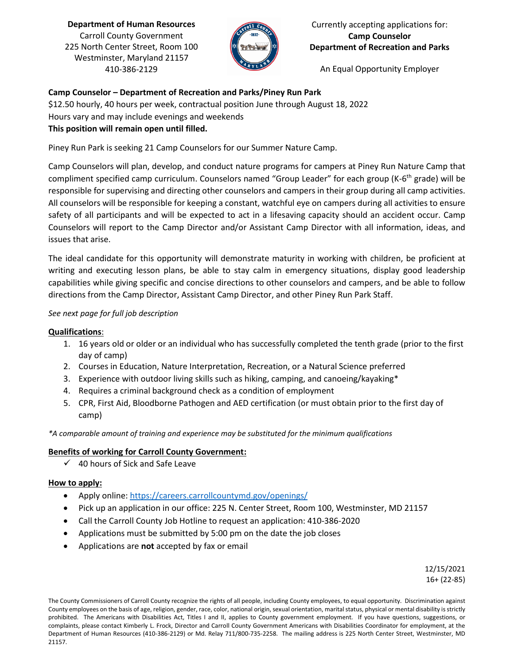**Department of Human Resources** Carroll County Government 225 North Center Street, Room 100 Westminster, Maryland 21157 410-386-2129



Currently accepting applications for: **Camp Counselor Department of Recreation and Parks**

An Equal Opportunity Employer

# **Camp Counselor – Department of Recreation and Parks/Piney Run Park**

\$12.50 hourly, 40 hours per week, contractual position June through August 18, 2022

Hours vary and may include evenings and weekends

## **This position will remain open until filled.**

Piney Run Park is seeking 21 Camp Counselors for our Summer Nature Camp.

Camp Counselors will plan, develop, and conduct nature programs for campers at Piney Run Nature Camp that compliment specified camp curriculum. Counselors named "Group Leader" for each group (K-6<sup>th</sup> grade) will be responsible for supervising and directing other counselors and campers in their group during all camp activities. All counselors will be responsible for keeping a constant, watchful eye on campers during all activities to ensure safety of all participants and will be expected to act in a lifesaving capacity should an accident occur. Camp Counselors will report to the Camp Director and/or Assistant Camp Director with all information, ideas, and issues that arise.

The ideal candidate for this opportunity will demonstrate maturity in working with children, be proficient at writing and executing lesson plans, be able to stay calm in emergency situations, display good leadership capabilities while giving specific and concise directions to other counselors and campers, and be able to follow directions from the Camp Director, Assistant Camp Director, and other Piney Run Park Staff.

### *See next page for full job description*

### **Qualifications**:

- 1. 16 years old or older or an individual who has successfully completed the tenth grade (prior to the first day of camp)
- 2. Courses in Education, Nature Interpretation, Recreation, or a Natural Science preferred
- 3. Experience with outdoor living skills such as hiking, camping, and canoeing/kayaking\*
- 4. Requires a criminal background check as a condition of employment
- 5. CPR, First Aid, Bloodborne Pathogen and AED certification (or must obtain prior to the first day of camp)

*\*A comparable amount of training and experience may be substituted for the minimum qualifications*

### **Benefits of working for Carroll County Government:**

 $\checkmark$  40 hours of Sick and Safe Leave

### **How to apply:**

- Apply online:<https://careers.carrollcountymd.gov/openings/>
- Pick up an application in our office: 225 N. Center Street, Room 100, Westminster, MD 21157
- Call the Carroll County Job Hotline to request an application: 410-386-2020
- Applications must be submitted by 5:00 pm on the date the job closes
- Applications are **not** accepted by fax or email

12/15/2021 16+ (22-85)

The County Commissioners of Carroll County recognize the rights of all people, including County employees, to equal opportunity. Discrimination against County employees on the basis of age, religion, gender, race, color, national origin, sexual orientation, marital status, physical or mental disability is strictly prohibited. The Americans with Disabilities Act, Titles I and II, applies to County government employment. If you have questions, suggestions, or complaints, please contact Kimberly L. Frock, Director and Carroll County Government Americans with Disabilities Coordinator for employment, at the Department of Human Resources (410-386-2129) or Md. Relay 711/800-735-2258. The mailing address is 225 North Center Street, Westminster, MD 21157.